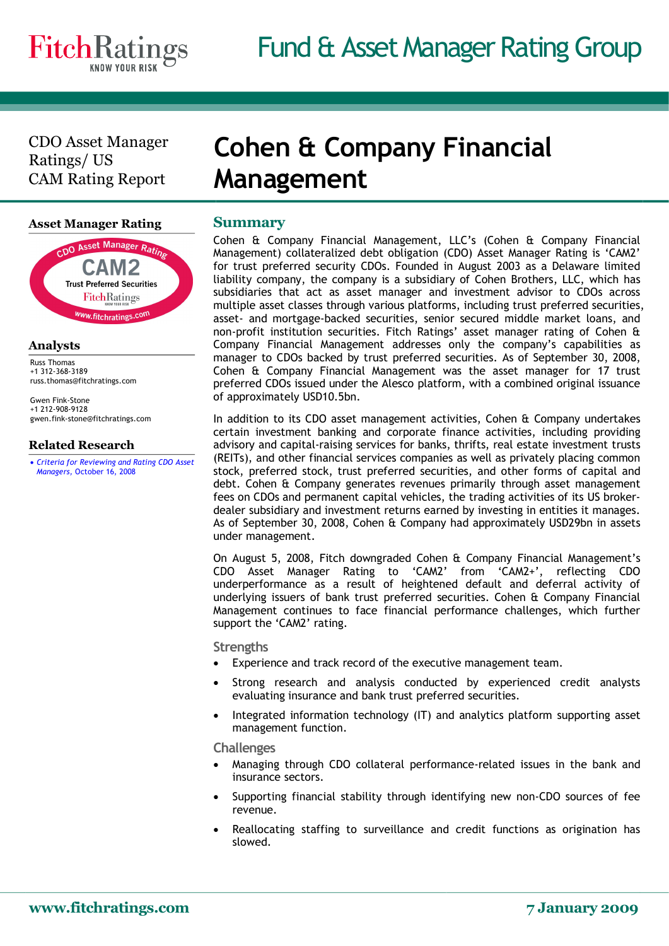CDO Asset Manager Ratings/ US CAM Rating Report

### **Asset Manager Rating**



#### **Analysts**

Russ Thomas<br>+1 312‐368‐3189<br>russ.thomas@fitchratings.com

Gwen Fink‐Stone +1 212‐908‐9128 gwen.fink‐stone@fitchratings.com

## **Related Research**

· *[Criteria for Reviewing and Rating CDO Asset](/creditdesk/reports/report_frame.cfm?rpt_id=410446)  Managers,* October 16, 2008

## **Cohen & Company Financial Management**

## **Summary**

Cohen & Company Financial Management, LLC's (Cohen & Company Financial Management) collateralized debt obligation (CDO) Asset Manager Rating is 'CAM2' for trust preferred security CDOs. Founded in August 2003 as a Delaware limited liability company, the company is a subsidiary of Cohen Brothers, LLC, which has subsidiaries that act as asset manager and investment advisor to CDOs across multiple asset classes through various platforms, including trust preferred securities, asset‐ and mortgage‐backed securities, senior secured middle market loans, and non‐profit institution securities. Fitch Ratings' asset manager rating of Cohen & Company Financial Management addresses only the company's capabilities as manager to CDOs backed by trust preferred securities. As of September 30, 2008, Cohen & Company Financial Management was the asset manager for 17 trust preferred CDOs issued under the Alesco platform, with a combined original issuance of approximately USD10.5bn.

In addition to its CDO asset management activities, Cohen & Company undertakes certain investment banking and corporate finance activities, including providing advisory and capital‐raising services for banks, thrifts, real estate investment trusts (REITs), and other financial services companies as well as privately placing common stock, preferred stock, trust preferred securities, and other forms of capital and debt. Cohen & Company generates revenues primarily through asset management fees on CDOs and permanent capital vehicles, the trading activities of its US broker‐ dealer subsidiary and investment returns earned by investing in entities it manages. As of September 30, 2008, Cohen & Company had approximately USD29bn in assets under management.

On August 5, 2008, Fitch downgraded Cohen & Company Financial Management's CDO Asset Manager Rating to 'CAM2' from 'CAM2+', reflecting CDO underperformance as a result of heightened default and deferral activity of underlying issuers of bank trust preferred securities. Cohen & Company Financial Management continues to face financial performance challenges, which further support the 'CAM2' rating.

#### **Strengths**

- Experience and track record of the executive management team.
- Strong research and analysis conducted by experienced credit analysts evaluating insurance and bank trust preferred securities.
- · Integrated information technology (IT) and analytics platform supporting asset management function.

#### **Challenges**

- · Managing through CDO collateral performance‐related issues in the bank and insurance sectors.
- Supporting financial stability through identifying new non-CDO sources of fee revenue.
- Reallocating staffing to surveillance and credit functions as origination has slowed.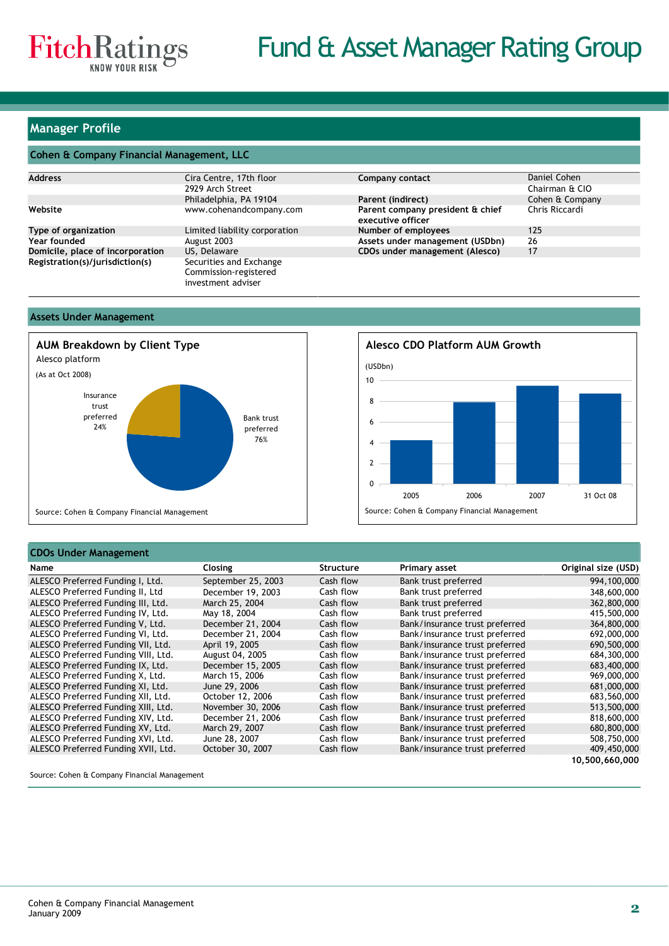

### **Manager Profile**

#### **Cohen & Company Financial Management, LLC**

| <b>Address</b>                   | Cira Centre, 17th floor                                                | Company contact                                       | Daniel Cohen    |
|----------------------------------|------------------------------------------------------------------------|-------------------------------------------------------|-----------------|
|                                  | 2929 Arch Street                                                       |                                                       | Chairman & CIO  |
|                                  | Philadelphia, PA 19104                                                 | Parent (indirect)                                     | Cohen & Company |
| Website                          | www.cohenandcompany.com                                                | Parent company president & chief<br>executive officer | Chris Riccardi  |
| Type of organization             | Limited liability corporation                                          | Number of employees                                   | 125             |
| Year founded                     | August 2003                                                            | Assets under management (USDbn)                       | 26              |
| Domicile, place of incorporation | US, Delaware                                                           | CDOs under management (Alesco)                        | 17              |
| Registration(s)/jurisdiction(s)  | Securities and Exchange<br>Commission-registered<br>investment adviser |                                                       |                 |

#### **Assets Under Management**



# 6 8 10 **Alesco CDO Platform AUM Growth** (USDbn)



#### **CDOs Under Management**

| Name                                | Closing            | Structure | Primary asset                  | Original size (USD) |
|-------------------------------------|--------------------|-----------|--------------------------------|---------------------|
| ALESCO Preferred Funding I, Ltd.    | September 25, 2003 | Cash flow | Bank trust preferred           | 994,100,000         |
| ALESCO Preferred Funding II, Ltd    | December 19, 2003  | Cash flow | Bank trust preferred           | 348,600,000         |
| ALESCO Preferred Funding III, Ltd.  | March 25, 2004     | Cash flow | Bank trust preferred           | 362,800,000         |
| ALESCO Preferred Funding IV, Ltd.   | May 18, 2004       | Cash flow | Bank trust preferred           | 415,500,000         |
| ALESCO Preferred Funding V, Ltd.    | December 21, 2004  | Cash flow | Bank/insurance trust preferred | 364,800,000         |
| ALESCO Preferred Funding VI, Ltd.   | December 21, 2004  | Cash flow | Bank/insurance trust preferred | 692,000,000         |
| ALESCO Preferred Funding VII, Ltd.  | April 19, 2005     | Cash flow | Bank/insurance trust preferred | 690,500,000         |
| ALESCO Preferred Funding VIII, Ltd. | August 04, 2005    | Cash flow | Bank/insurance trust preferred | 684,300,000         |
| ALESCO Preferred Funding IX, Ltd.   | December 15, 2005  | Cash flow | Bank/insurance trust preferred | 683,400,000         |
| ALESCO Preferred Funding X, Ltd.    | March 15, 2006     | Cash flow | Bank/insurance trust preferred | 969,000,000         |
| ALESCO Preferred Funding XI, Ltd.   | June 29, 2006      | Cash flow | Bank/insurance trust preferred | 681,000,000         |
| ALESCO Preferred Funding XII, Ltd.  | October 12, 2006   | Cash flow | Bank/insurance trust preferred | 683,560,000         |
| ALESCO Preferred Funding XIII, Ltd. | November 30, 2006  | Cash flow | Bank/insurance trust preferred | 513,500,000         |
| ALESCO Preferred Funding XIV, Ltd.  | December 21, 2006  | Cash flow | Bank/insurance trust preferred | 818,600,000         |
| ALESCO Preferred Funding XV, Ltd.   | March 29, 2007     | Cash flow | Bank/insurance trust preferred | 680,800,000         |
| ALESCO Preferred Funding XVI, Ltd.  | June 28, 2007      | Cash flow | Bank/insurance trust preferred | 508,750,000         |
| ALESCO Preferred Funding XVII, Ltd. | October 30, 2007   | Cash flow | Bank/insurance trust preferred | 409,450,000         |
|                                     |                    |           |                                | 10,500,660,000      |

Source: Cohen & Company Financial Management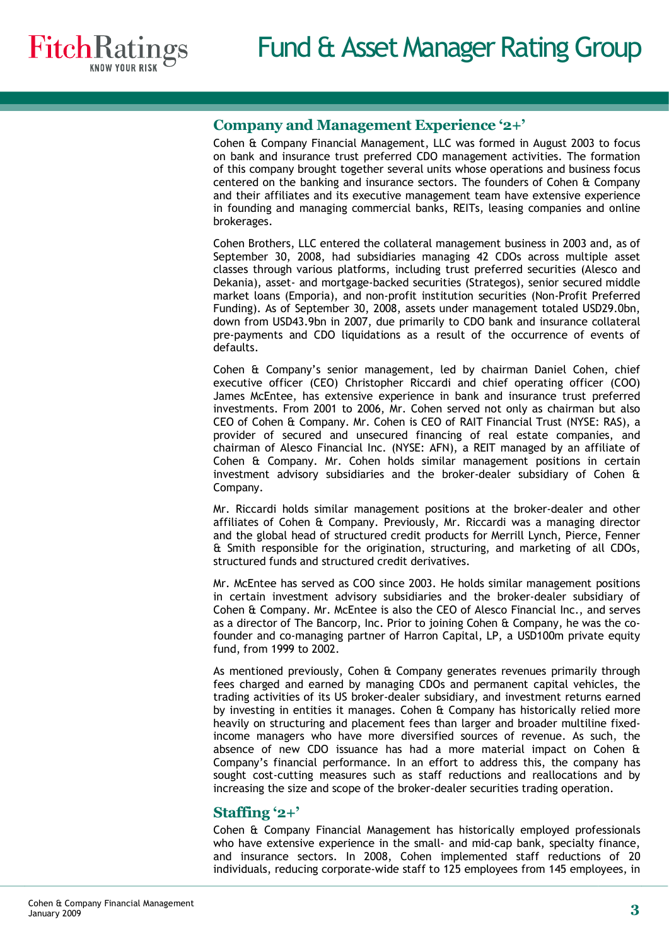

## **Company and Management Experience '2+'**

Cohen & Company Financial Management, LLC was formed in August 2003 to focus on bank and insurance trust preferred CDO management activities. The formation of this company brought together several units whose operations and business focus centered on the banking and insurance sectors. The founders of Cohen & Company and their affiliates and its executive management team have extensive experience in founding and managing commercial banks, REITs, leasing companies and online brokerages.

Cohen Brothers, LLC entered the collateral management business in 2003 and, as of September 30, 2008, had subsidiaries managing 42 CDOs across multiple asset classes through various platforms, including trust preferred securities (Alesco and Dekania), asset- and mortgage-backed securities (Strategos), senior secured middle market loans (Emporia), and non‐profit institution securities (Non‐Profit Preferred Funding). As of September 30, 2008, assets under management totaled USD29.0bn, down from USD43.9bn in 2007, due primarily to CDO bank and insurance collateral pre‐payments and CDO liquidations as a result of the occurrence of events of defaults.

Cohen & Company's senior management, led by chairman Daniel Cohen, chief executive officer (CEO) Christopher Riccardi and chief operating officer (COO) James McEntee, has extensive experience in bank and insurance trust preferred investments. From 2001 to 2006, Mr. Cohen served not only as chairman but also CEO of Cohen & Company. Mr. Cohen is CEO of RAIT Financial Trust (NYSE: RAS), a provider of secured and unsecured financing of real estate companies, and chairman of Alesco Financial Inc. (NYSE: AFN), a REIT managed by an affiliate of Cohen & Company. Mr. Cohen holds similar management positions in certain investment advisory subsidiaries and the broker-dealer subsidiary of Cohen & Company.

Mr. Riccardi holds similar management positions at the broker‐dealer and other affiliates of Cohen & Company. Previously, Mr. Riccardi was a managing director and the global head of structured credit products for Merrill Lynch, Pierce, Fenner & Smith responsible for the origination, structuring, and marketing of all CDOs, structured funds and structured credit derivatives.

Mr. McEntee has served as COO since 2003. He holds similar management positions in certain investment advisory subsidiaries and the broker‐dealer subsidiary of Cohen & Company. Mr. McEntee is also the CEO of Alesco Financial Inc., and serves as a director of The Bancorp, Inc. Prior to joining Cohen & Company, he was the co‐ founder and co-managing partner of Harron Capital, LP, a USD100m private equity fund, from 1999 to 2002.

As mentioned previously, Cohen & Company generates revenues primarily through fees charged and earned by managing CDOs and permanent capital vehicles, the trading activities of its US broker‐dealer subsidiary, and investment returns earned by investing in entities it manages. Cohen & Company has historically relied more heavily on structuring and placement fees than larger and broader multiline fixedincome managers who have more diversified sources of revenue. As such, the absence of new CDO issuance has had a more material impact on Cohen & Company's financial performance. In an effort to address this, the company has sought cost-cutting measures such as staff reductions and reallocations and by increasing the size and scope of the broker-dealer securities trading operation.

## **Staffing '2+'**

Cohen & Company Financial Management has historically employed professionals who have extensive experience in the small‐ and mid‐cap bank, specialty finance, and insurance sectors. In 2008, Cohen implemented staff reductions of 20 individuals, reducing corporate‐wide staff to 125 employees from 145 employees, in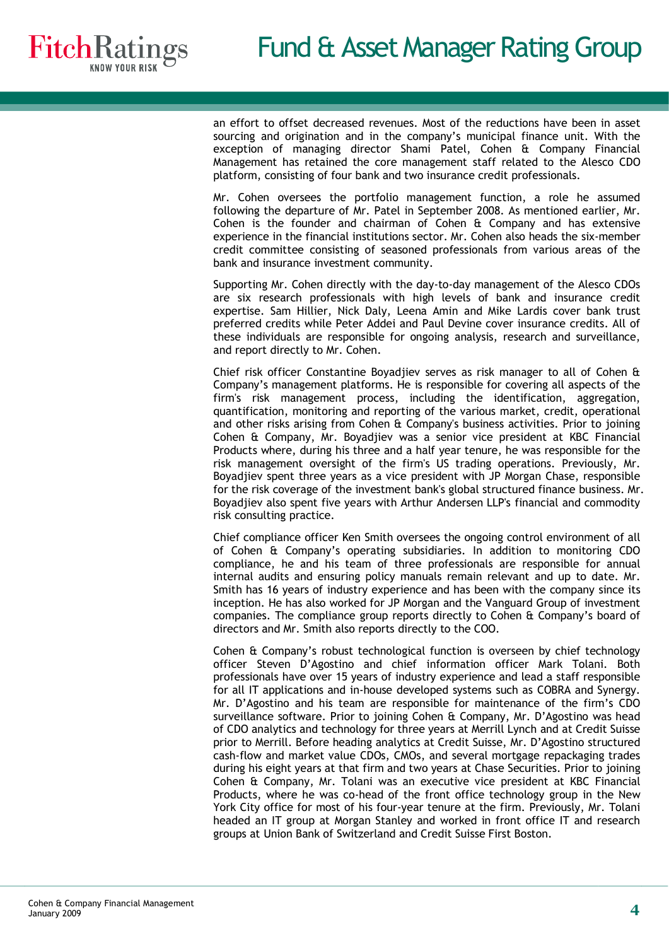an effort to offset decreased revenues. Most of the reductions have been in asset sourcing and origination and in the company's municipal finance unit. With the exception of managing director Shami Patel, Cohen & Company Financial Management has retained the core management staff related to the Alesco CDO platform, consisting of four bank and two insurance credit professionals.

Mr. Cohen oversees the portfolio management function, a role he assumed following the departure of Mr. Patel in September 2008. As mentioned earlier, Mr. Cohen is the founder and chairman of Cohen & Company and has extensive experience in the financial institutions sector. Mr. Cohen also heads the six‐member credit committee consisting of seasoned professionals from various areas of the bank and insurance investment community.

Supporting Mr. Cohen directly with the day‐to‐day management of the Alesco CDOs are six research professionals with high levels of bank and insurance credit expertise. Sam Hillier, Nick Daly, Leena Amin and Mike Lardis cover bank trust preferred credits while Peter Addei and Paul Devine cover insurance credits. All of these individuals are responsible for ongoing analysis, research and surveillance, and report directly to Mr. Cohen.

Chief risk officer Constantine Boyadjiev serves as risk manager to all of Cohen & Company's management platforms. He is responsible for covering all aspects of the firm's risk management process, including the identification, aggregation, quantification, monitoring and reporting of the various market, credit, operational and other risks arising from Cohen & Company's business activities. Prior to joining Cohen & Company, Mr. Boyadjiev was a senior vice president at KBC Financial Products where, during his three and a half year tenure, he was responsible for the risk management oversight of the firm's US trading operations. Previously, Mr. Boyadjiev spent three years as a vice president with JP Morgan Chase, responsible for the risk coverage of the investment bank's global structured finance business. Mr. Boyadjiev also spent five years with Arthur Andersen LLP's financial and commodity risk consulting practice.

Chief compliance officer Ken Smith oversees the ongoing control environment of all of Cohen & Company's operating subsidiaries. In addition to monitoring CDO compliance, he and his team of three professionals are responsible for annual internal audits and ensuring policy manuals remain relevant and up to date. Mr. Smith has 16 years of industry experience and has been with the company since its inception. He has also worked for JP Morgan and the Vanguard Group of investment companies. The compliance group reports directly to Cohen & Company's board of directors and Mr. Smith also reports directly to the COO.

Cohen & Company's robust technological function is overseen by chief technology officer Steven D'Agostino and chief information officer Mark Tolani. Both professionals have over 15 years of industry experience and lead a staff responsible for all IT applications and in‐house developed systems such as COBRA and Synergy. Mr. D'Agostino and his team are responsible for maintenance of the firm's CDO surveillance software. Prior to joining Cohen & Company, Mr. D'Agostino was head of CDO analytics and technology for three years at Merrill Lynch and at Credit Suisse prior to Merrill. Before heading analytics at Credit Suisse, Mr. D'Agostino structured cash‐flow and market value CDOs, CMOs, and several mortgage repackaging trades during his eight years at that firm and two years at Chase Securities. Prior to joining Cohen & Company, Mr. Tolani was an executive vice president at KBC Financial Products, where he was co‐head of the front office technology group in the New York City office for most of his four-year tenure at the firm. Previously, Mr. Tolani headed an IT group at Morgan Stanley and worked in front office IT and research groups at Union Bank of Switzerland and Credit Suisse First Boston.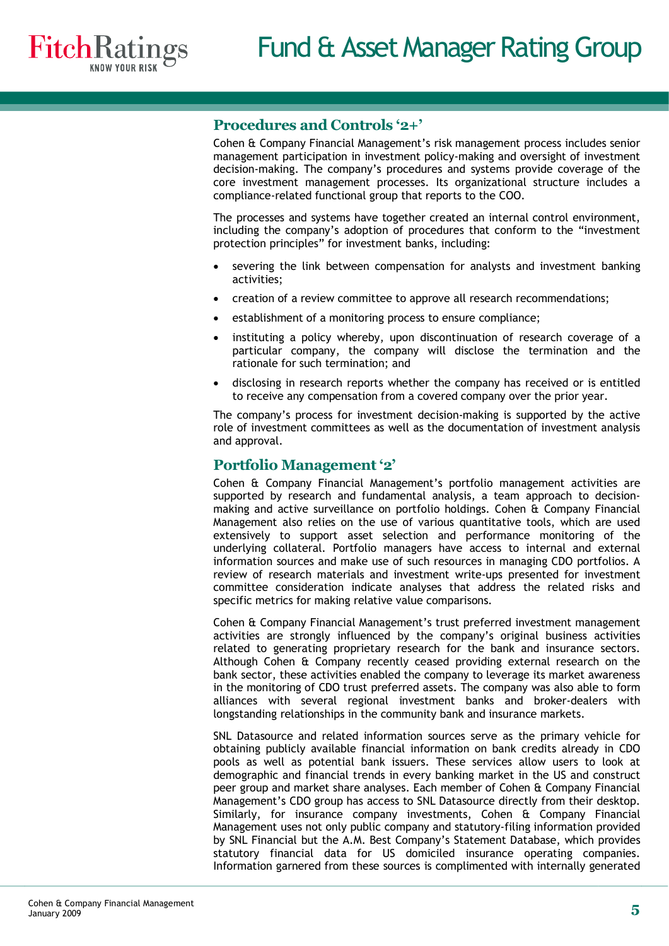## **Procedures and Controls '2+'**

Cohen & Company Financial Management's risk management process includes senior management participation in investment policy-making and oversight of investment decision‐making. The company's procedures and systems provide coverage of the core investment management processes. Its organizational structure includes a compliance‐related functional group that reports to the COO.

The processes and systems have together created an internal control environment, including the company's adoption of procedures that conform to the "investment protection principles" for investment banks, including:

- severing the link between compensation for analysts and investment banking activities;
- creation of a review committee to approve all research recommendations;
- establishment of a monitoring process to ensure compliance;
- instituting a policy whereby, upon discontinuation of research coverage of a particular company, the company will disclose the termination and the rationale for such termination; and
- disclosing in research reports whether the company has received or is entitled to receive any compensation from a covered company over the prior year.

The company's process for investment decision-making is supported by the active role of investment committees as well as the documentation of investment analysis and approval.

## **Portfolio Management'2'**

Cohen & Company Financial Management's portfolio management activities are supported by research and fundamental analysis, a team approach to decisionmaking and active surveillance on portfolio holdings. Cohen & Company Financial Management also relies on the use of various quantitative tools, which are used extensively to support asset selection and performance monitoring of the underlying collateral. Portfolio managers have access to internal and external information sources and make use of such resources in managing CDO portfolios. A review of research materials and investment write‐ups presented for investment committee consideration indicate analyses that address the related risks and specific metrics for making relative value comparisons.

Cohen & Company Financial Management's trust preferred investment management activities are strongly influenced by the company's original business activities related to generating proprietary research for the bank and insurance sectors. Although Cohen & Company recently ceased providing external research on the bank sector, these activities enabled the company to leverage its market awareness in the monitoring of CDO trust preferred assets. The company was also able to form alliances with several regional investment banks and broker‐dealers with longstanding relationships in the community bank and insurance markets.

SNL Datasource and related information sources serve as the primary vehicle for obtaining publicly available financial information on bank credits already in CDO pools as well as potential bank issuers. These services allow users to look at demographic and financial trends in every banking market in the US and construct peer group and market share analyses. Each member of Cohen & Company Financial Management's CDO group has access to SNL Datasource directly from their desktop. Similarly, for insurance company investments, Cohen & Company Financial Management uses not only public company and statutory‐filing information provided by SNL Financial but the A.M. Best Company's Statement Database, which provides statutory financial data for US domiciled insurance operating companies. Information garnered from these sources is complimented with internally generated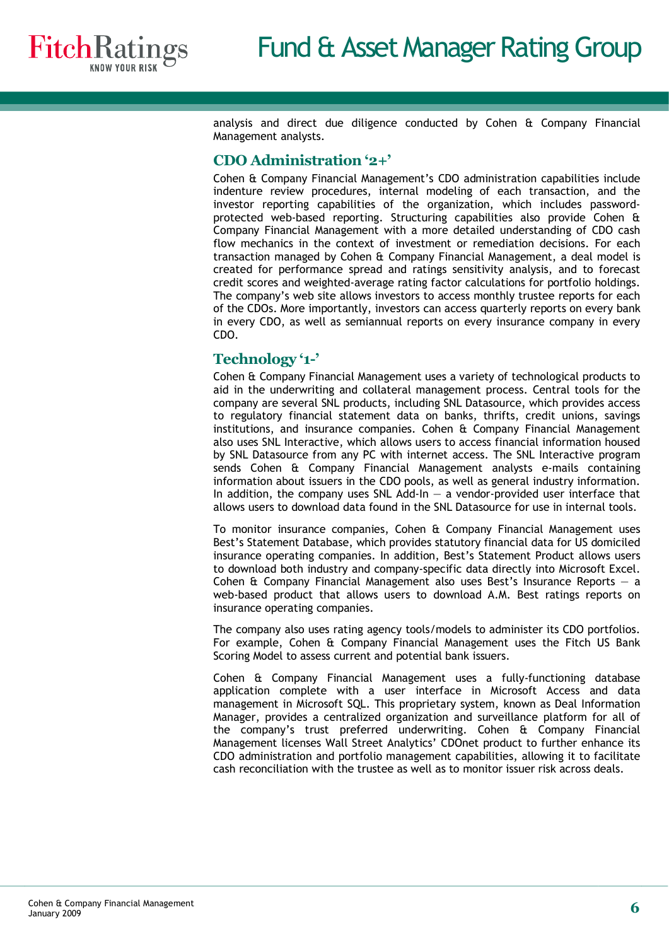analysis and direct due diligence conducted by Cohen & Company Financial Management analysts.

## **CDO Administration '2+'**

Cohen & Company Financial Management's CDO administration capabilities include indenture review procedures, internal modeling of each transaction, and the investor reporting capabilities of the organization, which includes passwordprotected web‐based reporting. Structuring capabilities also provide Cohen & Company Financial Management with a more detailed understanding of CDO cash flow mechanics in the context of investment or remediation decisions. For each transaction managed by Cohen & Company Financial Management, a deal model is created for performance spread and ratings sensitivity analysis, and to forecast credit scores and weighted‐average rating factor calculations for portfolio holdings. The company's web site allows investors to access monthly trustee reports for each of the CDOs. More importantly, investors can access quarterly reports on every bank in every CDO, as well as semiannual reports on every insurance company in every CDO.

## **Technology '1'**

Cohen & Company Financial Management uses a variety of technological products to aid in the underwriting and collateral management process. Central tools for the company are several SNL products, including SNL Datasource, which provides access to regulatory financial statement data on banks, thrifts, credit unions, savings institutions, and insurance companies. Cohen & Company Financial Management also uses SNL Interactive, which allows users to access financial information housed by SNL Datasource from any PC with internet access. The SNL Interactive program sends Cohen & Company Financial Management analysts e-mails containing information about issuers in the CDO pools, as well as general industry information. In addition, the company uses SNL Add-In  $-$  a vendor-provided user interface that allows users to download data found in the SNL Datasource for use in internal tools.

To monitor insurance companies, Cohen & Company Financial Management uses Best's Statement Database, which provides statutory financial data for US domiciled insurance operating companies. In addition, Best's Statement Product allows users to download both industry and company‐specific data directly into Microsoft Excel. Cohen  $\hat{a}$  Company Financial Management also uses Best's Insurance Reports  $-$  a web-based product that allows users to download A.M. Best ratings reports on insurance operating companies.

The company also uses rating agency tools/models to administer its CDO portfolios. For example, Cohen & Company Financial Management uses the Fitch US Bank Scoring Model to assess current and potential bank issuers.

Cohen & Company Financial Management uses a fully‐functioning database application complete with a user interface in Microsoft Access and data management in Microsoft SQL. This proprietary system, known as Deal Information Manager, provides a centralized organization and surveillance platform for all of the company's trust preferred underwriting. Cohen & Company Financial Management licenses Wall Street Analytics' CDOnet product to further enhance its CDO administration and portfolio management capabilities, allowing it to facilitate cash reconciliation with the trustee as well as to monitor issuer risk across deals.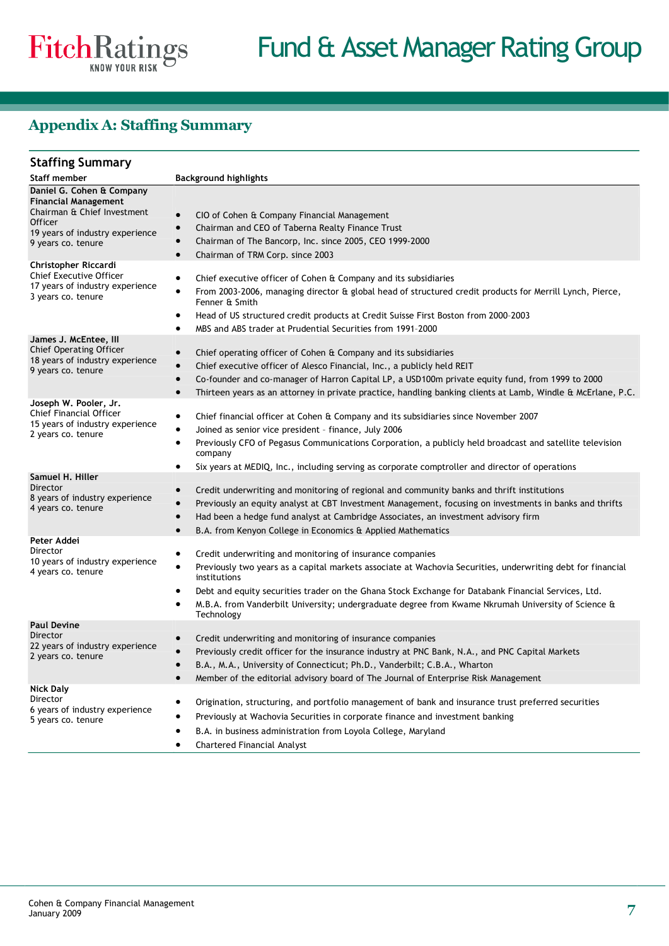## **Appendix A: Staffing Summary**

| <b>Staffing Summary</b>                                                                                                                                            |                                                                                                                                                                                                                                                                                                                                                                                                                                            |
|--------------------------------------------------------------------------------------------------------------------------------------------------------------------|--------------------------------------------------------------------------------------------------------------------------------------------------------------------------------------------------------------------------------------------------------------------------------------------------------------------------------------------------------------------------------------------------------------------------------------------|
| Staff member                                                                                                                                                       | <b>Background highlights</b>                                                                                                                                                                                                                                                                                                                                                                                                               |
| Daniel G. Cohen & Company<br><b>Financial Management</b><br>Chairman & Chief Investment<br><b>Officer</b><br>19 years of industry experience<br>9 years co. tenure | CIO of Cohen & Company Financial Management<br>$\bullet$<br>Chairman and CEO of Taberna Realty Finance Trust<br>$\bullet$<br>Chairman of The Bancorp, Inc. since 2005, CEO 1999-2000<br>$\bullet$<br>Chairman of TRM Corp. since 2003<br>$\bullet$                                                                                                                                                                                         |
| Christopher Riccardi<br><b>Chief Executive Officer</b><br>17 years of industry experience<br>3 years co. tenure                                                    | Chief executive officer of Cohen & Company and its subsidiaries<br>$\bullet$<br>From 2003-2006, managing director & global head of structured credit products for Merrill Lynch, Pierce,<br>٠<br>Fenner & Smith<br>Head of US structured credit products at Credit Suisse First Boston from 2000-2003<br>٠<br>MBS and ABS trader at Prudential Securities from 1991-2000<br>٠                                                              |
| James J. McEntee, Ill<br><b>Chief Operating Officer</b><br>18 years of industry experience<br>9 years co. tenure                                                   | Chief operating officer of Cohen & Company and its subsidiaries<br>$\bullet$<br>Chief executive officer of Alesco Financial, Inc., a publicly held REIT<br>$\bullet$<br>Co-founder and co-manager of Harron Capital LP, a USD100m private equity fund, from 1999 to 2000<br>$\bullet$<br>Thirteen years as an attorney in private practice, handling banking clients at Lamb, Windle & McErlane, P.C.                                      |
| Joseph W. Pooler, Jr.<br>Chief Financial Officer<br>15 years of industry experience<br>2 years co. tenure                                                          | Chief financial officer at Cohen & Company and its subsidiaries since November 2007<br>٠<br>Joined as senior vice president - finance, July 2006<br>٠<br>Previously CFO of Pegasus Communications Corporation, a publicly held broadcast and satellite television<br>٠<br>company<br>Six years at MEDIQ, Inc., including serving as corporate comptroller and director of operations<br>٠                                                  |
| Samuel H. Hiller<br>Director<br>8 years of industry experience<br>4 years co. tenure                                                                               | Credit underwriting and monitoring of regional and community banks and thrift institutions<br>$\bullet$<br>Previously an equity analyst at CBT Investment Management, focusing on investments in banks and thrifts<br>$\bullet$<br>Had been a hedge fund analyst at Cambridge Associates, an investment advisory firm<br>$\bullet$<br>$\bullet$<br>B.A. from Kenyon College in Economics & Applied Mathematics                             |
| Peter Addei<br>Director<br>10 years of industry experience<br>4 years co. tenure                                                                                   | Credit underwriting and monitoring of insurance companies<br>٠<br>Previously two years as a capital markets associate at Wachovia Securities, underwriting debt for financial<br>institutions<br>Debt and equity securities trader on the Ghana Stock Exchange for Databank Financial Services, Ltd.<br>$\bullet$<br>M.B.A. from Vanderbilt University; undergraduate degree from Kwame Nkrumah University of Science &<br>٠<br>Technology |
| <b>Paul Devine</b><br>Director<br>22 years of industry experience<br>2 years co. tenure                                                                            | Credit underwriting and monitoring of insurance companies<br>$\bullet$<br>Previously credit officer for the insurance industry at PNC Bank, N.A., and PNC Capital Markets<br>B.A., M.A., University of Connecticut; Ph.D., Vanderbilt; C.B.A., Wharton<br>Member of the editorial advisory board of The Journal of Enterprise Risk Management                                                                                              |
| <b>Nick Daly</b><br>Director<br>6 years of industry experience<br>5 years co. tenure                                                                               | Origination, structuring, and portfolio management of bank and insurance trust preferred securities<br>٠<br>Previously at Wachovia Securities in corporate finance and investment banking<br>B.A. in business administration from Loyola College, Maryland<br><b>Chartered Financial Analyst</b>                                                                                                                                           |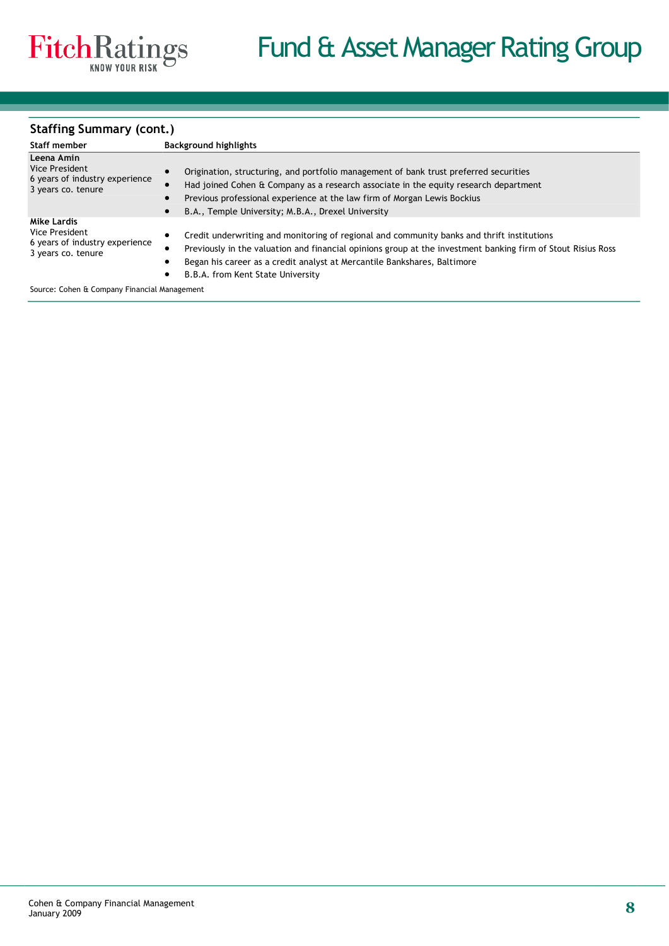### **Staffing Summary (cont.)**

| Staff member                                                                          | <b>Background highlights</b>                                                                                                                                                                                                                                                           |
|---------------------------------------------------------------------------------------|----------------------------------------------------------------------------------------------------------------------------------------------------------------------------------------------------------------------------------------------------------------------------------------|
| Leena Amin                                                                            |                                                                                                                                                                                                                                                                                        |
| Vice President<br>6 years of industry experience<br>3 years co. tenure                | Origination, structuring, and portfolio management of bank trust preferred securities                                                                                                                                                                                                  |
|                                                                                       | Had joined Cohen & Company as a research associate in the equity research department                                                                                                                                                                                                   |
|                                                                                       | Previous professional experience at the law firm of Morgan Lewis Bockius                                                                                                                                                                                                               |
|                                                                                       | B.A., Temple University; M.B.A., Drexel University                                                                                                                                                                                                                                     |
| Mike Lardis<br>Vice President<br>6 years of industry experience<br>3 years co. tenure | Credit underwriting and monitoring of regional and community banks and thrift institutions<br>Previously in the valuation and financial opinions group at the investment banking firm of Stout Risius Ross<br>Began his career as a credit analyst at Mercantile Bankshares, Baltimore |
|                                                                                       | B.B.A. from Kent State University                                                                                                                                                                                                                                                      |

Source: Cohen & Company Financial Management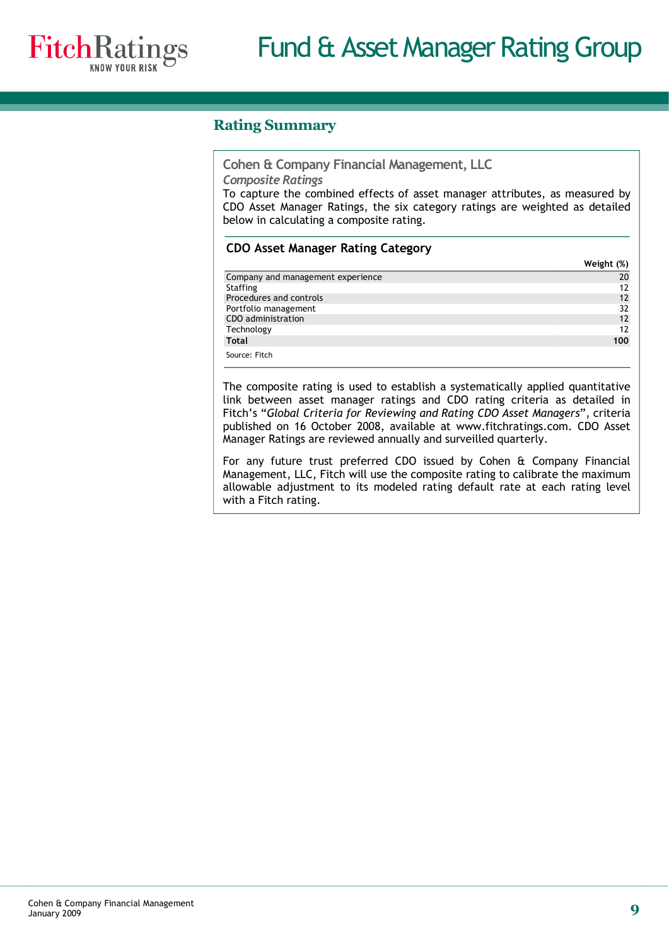

## **Rating Summary**

**Cohen & Company Financial Management, LLC**

*Composite Ratings*

To capture the combined effects of asset manager attributes, as measured by CDO Asset Manager Ratings, the six category ratings are weighted as detailed below in calculating a composite rating.

## **CDO Asset Manager Rating Category**

|                                   | Weight (%)        |
|-----------------------------------|-------------------|
| Company and management experience | 20                |
| Staffing                          |                   |
| Procedures and controls           | $12 \overline{ }$ |
| Portfolio management              | 32                |
| CDO administration                | $12 \overline{ }$ |
| Technology                        | 17                |
| Total                             | 100               |
| Source: Fitch                     |                   |

The composite rating is used to establish a systematically applied quantitative link between asset manager ratings and CDO rating criteria as detailed in Fitch's "*Global Criteria for Reviewing and Rating CDO Asset Managers*", criteria published on 16 October 2008, available at www.fitchratings.com. CDO Asset Manager Ratings are reviewed annually and surveilled quarterly.

For any future trust preferred CDO issued by Cohen & Company Financial Management, LLC, Fitch will use the composite rating to calibrate the maximum allowable adjustment to its modeled rating default rate at each rating level with a Fitch rating.